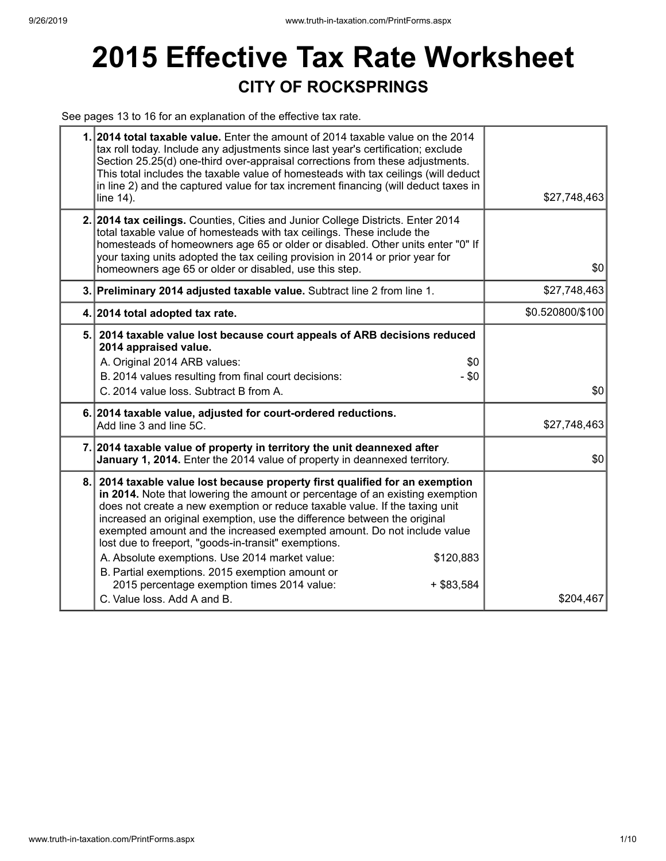# **2015 Effective Tax Rate Worksheet CITY OF ROCKSPRINGS**

See pages 13 to 16 for an explanation of the effective tax rate.

| 1. 2014 total taxable value. Enter the amount of 2014 taxable value on the 2014<br>tax roll today. Include any adjustments since last year's certification; exclude<br>Section 25.25(d) one-third over-appraisal corrections from these adjustments.<br>This total includes the taxable value of homesteads with tax ceilings (will deduct<br>in line 2) and the captured value for tax increment financing (will deduct taxes in<br>line 14).                                                                                                                                                                                                                              | \$27,748,463     |
|-----------------------------------------------------------------------------------------------------------------------------------------------------------------------------------------------------------------------------------------------------------------------------------------------------------------------------------------------------------------------------------------------------------------------------------------------------------------------------------------------------------------------------------------------------------------------------------------------------------------------------------------------------------------------------|------------------|
| 2. 2014 tax ceilings. Counties, Cities and Junior College Districts. Enter 2014<br>total taxable value of homesteads with tax ceilings. These include the<br>homesteads of homeowners age 65 or older or disabled. Other units enter "0" If<br>your taxing units adopted the tax ceiling provision in 2014 or prior year for<br>homeowners age 65 or older or disabled, use this step.                                                                                                                                                                                                                                                                                      | \$0              |
| 3. Preliminary 2014 adjusted taxable value. Subtract line 2 from line 1.                                                                                                                                                                                                                                                                                                                                                                                                                                                                                                                                                                                                    | \$27,748,463     |
| 4. 2014 total adopted tax rate.                                                                                                                                                                                                                                                                                                                                                                                                                                                                                                                                                                                                                                             | \$0.520800/\$100 |
| 5. 2014 taxable value lost because court appeals of ARB decisions reduced<br>2014 appraised value.<br>A. Original 2014 ARB values:<br>\$0<br>B. 2014 values resulting from final court decisions:<br>$-$ \$0<br>C. 2014 value loss. Subtract B from A.                                                                                                                                                                                                                                                                                                                                                                                                                      | \$0              |
| 6. 2014 taxable value, adjusted for court-ordered reductions.<br>Add line 3 and line 5C.                                                                                                                                                                                                                                                                                                                                                                                                                                                                                                                                                                                    | \$27,748,463     |
| 7. 2014 taxable value of property in territory the unit deannexed after<br>January 1, 2014. Enter the 2014 value of property in deannexed territory.                                                                                                                                                                                                                                                                                                                                                                                                                                                                                                                        | \$0              |
| 8. 2014 taxable value lost because property first qualified for an exemption<br>in 2014. Note that lowering the amount or percentage of an existing exemption<br>does not create a new exemption or reduce taxable value. If the taxing unit<br>increased an original exemption, use the difference between the original<br>exempted amount and the increased exempted amount. Do not include value<br>lost due to freeport, "goods-in-transit" exemptions.<br>A. Absolute exemptions. Use 2014 market value:<br>\$120,883<br>B. Partial exemptions. 2015 exemption amount or<br>2015 percentage exemption times 2014 value:<br>$+$ \$83,584<br>C. Value loss. Add A and B. | \$204,467        |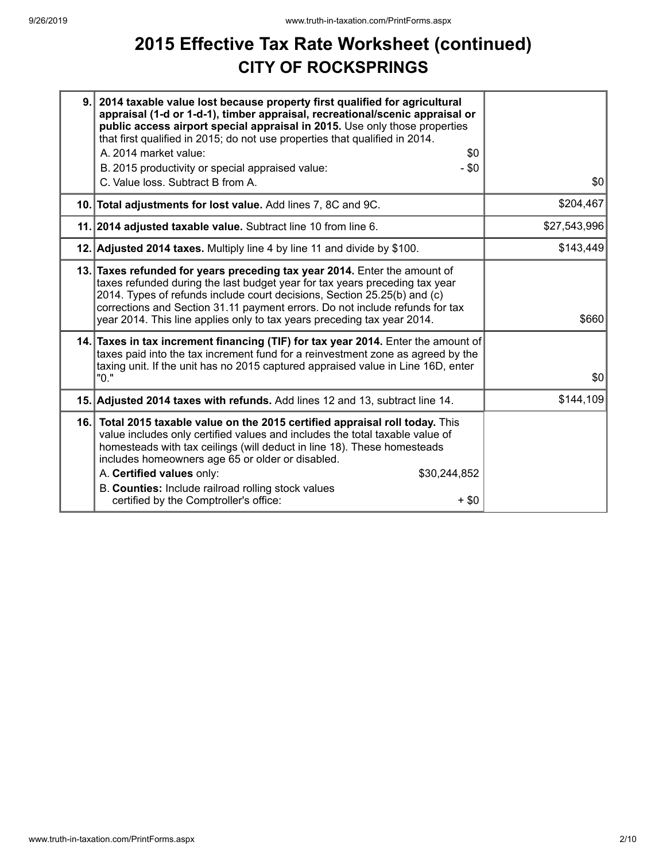## **2015 Effective Tax Rate Worksheet (continued) CITY OF ROCKSPRINGS**

| 9.  | 2014 taxable value lost because property first qualified for agricultural<br>appraisal (1-d or 1-d-1), timber appraisal, recreational/scenic appraisal or<br>public access airport special appraisal in 2015. Use only those properties<br>that first qualified in 2015; do not use properties that qualified in 2014.                                                                                                                           |              |
|-----|--------------------------------------------------------------------------------------------------------------------------------------------------------------------------------------------------------------------------------------------------------------------------------------------------------------------------------------------------------------------------------------------------------------------------------------------------|--------------|
|     | A. 2014 market value:<br>\$0<br>$-$ \$0                                                                                                                                                                                                                                                                                                                                                                                                          |              |
|     | B. 2015 productivity or special appraised value:<br>C. Value loss. Subtract B from A.                                                                                                                                                                                                                                                                                                                                                            | \$0          |
|     | 10. Total adjustments for lost value. Add lines 7, 8C and 9C.                                                                                                                                                                                                                                                                                                                                                                                    | \$204,467    |
|     | 11. 2014 adjusted taxable value. Subtract line 10 from line 6.                                                                                                                                                                                                                                                                                                                                                                                   | \$27,543,996 |
|     | 12. Adjusted 2014 taxes. Multiply line 4 by line 11 and divide by \$100.                                                                                                                                                                                                                                                                                                                                                                         | \$143,449    |
|     | 13. Taxes refunded for years preceding tax year 2014. Enter the amount of<br>taxes refunded during the last budget year for tax years preceding tax year<br>2014. Types of refunds include court decisions, Section 25.25(b) and (c)<br>corrections and Section 31.11 payment errors. Do not include refunds for tax<br>year 2014. This line applies only to tax years preceding tax year 2014.                                                  | \$660        |
|     | 14. Taxes in tax increment financing (TIF) for tax year 2014. Enter the amount of<br>taxes paid into the tax increment fund for a reinvestment zone as agreed by the<br>taxing unit. If the unit has no 2015 captured appraised value in Line 16D, enter<br>"0."                                                                                                                                                                                 | \$0          |
|     | 15. Adjusted 2014 taxes with refunds. Add lines 12 and 13, subtract line 14.                                                                                                                                                                                                                                                                                                                                                                     | \$144,109    |
| 16. | Total 2015 taxable value on the 2015 certified appraisal roll today. This<br>value includes only certified values and includes the total taxable value of<br>homesteads with tax ceilings (will deduct in line 18). These homesteads<br>includes homeowners age 65 or older or disabled.<br>A. Certified values only:<br>\$30,244,852<br>B. Counties: Include railroad rolling stock values<br>certified by the Comptroller's office:<br>$+$ \$0 |              |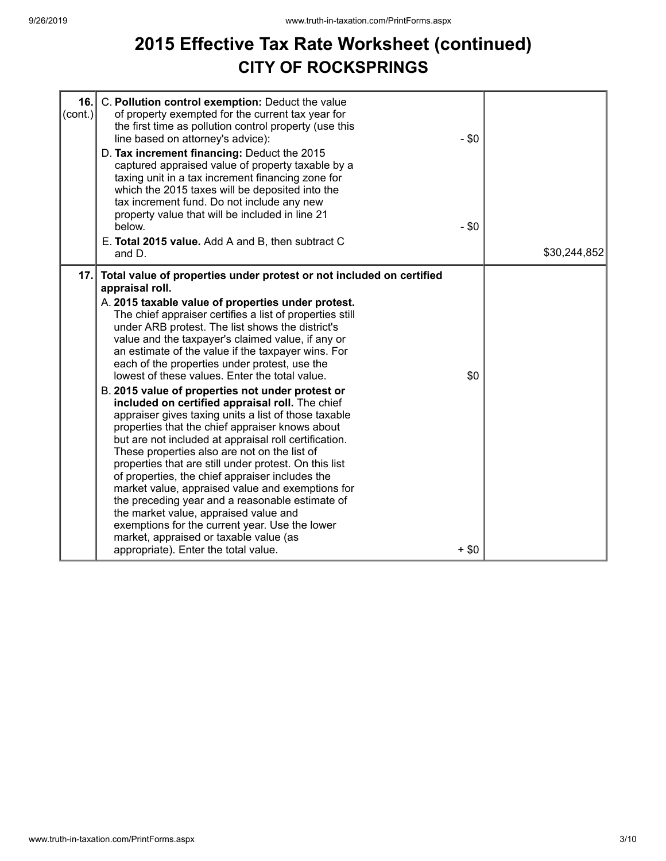#### **2015 Effective Tax Rate Worksheet (continued) CITY OF ROCKSPRINGS**

| 16.<br>(cont.) | C. Pollution control exemption: Deduct the value<br>of property exempted for the current tax year for<br>the first time as pollution control property (use this<br>line based on attorney's advice):<br>D. Tax increment financing: Deduct the 2015<br>captured appraised value of property taxable by a<br>taxing unit in a tax increment financing zone for<br>which the 2015 taxes will be deposited into the<br>tax increment fund. Do not include any new<br>property value that will be included in line 21<br>below.<br>E. Total 2015 value. Add A and B, then subtract C                                                                                                                                                                                                                                                                                                                                                                                                                                                                                                                                                                                                                       | $-$ \$0<br>$-$ \$0 |              |
|----------------|--------------------------------------------------------------------------------------------------------------------------------------------------------------------------------------------------------------------------------------------------------------------------------------------------------------------------------------------------------------------------------------------------------------------------------------------------------------------------------------------------------------------------------------------------------------------------------------------------------------------------------------------------------------------------------------------------------------------------------------------------------------------------------------------------------------------------------------------------------------------------------------------------------------------------------------------------------------------------------------------------------------------------------------------------------------------------------------------------------------------------------------------------------------------------------------------------------|--------------------|--------------|
|                | and D.                                                                                                                                                                                                                                                                                                                                                                                                                                                                                                                                                                                                                                                                                                                                                                                                                                                                                                                                                                                                                                                                                                                                                                                                 |                    | \$30,244,852 |
| 17.            | Total value of properties under protest or not included on certified<br>appraisal roll.<br>A. 2015 taxable value of properties under protest.<br>The chief appraiser certifies a list of properties still<br>under ARB protest. The list shows the district's<br>value and the taxpayer's claimed value, if any or<br>an estimate of the value if the taxpayer wins. For<br>each of the properties under protest, use the<br>lowest of these values. Enter the total value.<br>B. 2015 value of properties not under protest or<br>included on certified appraisal roll. The chief<br>appraiser gives taxing units a list of those taxable<br>properties that the chief appraiser knows about<br>but are not included at appraisal roll certification.<br>These properties also are not on the list of<br>properties that are still under protest. On this list<br>of properties, the chief appraiser includes the<br>market value, appraised value and exemptions for<br>the preceding year and a reasonable estimate of<br>the market value, appraised value and<br>exemptions for the current year. Use the lower<br>market, appraised or taxable value (as<br>appropriate). Enter the total value. | \$0<br>$+$ \$0     |              |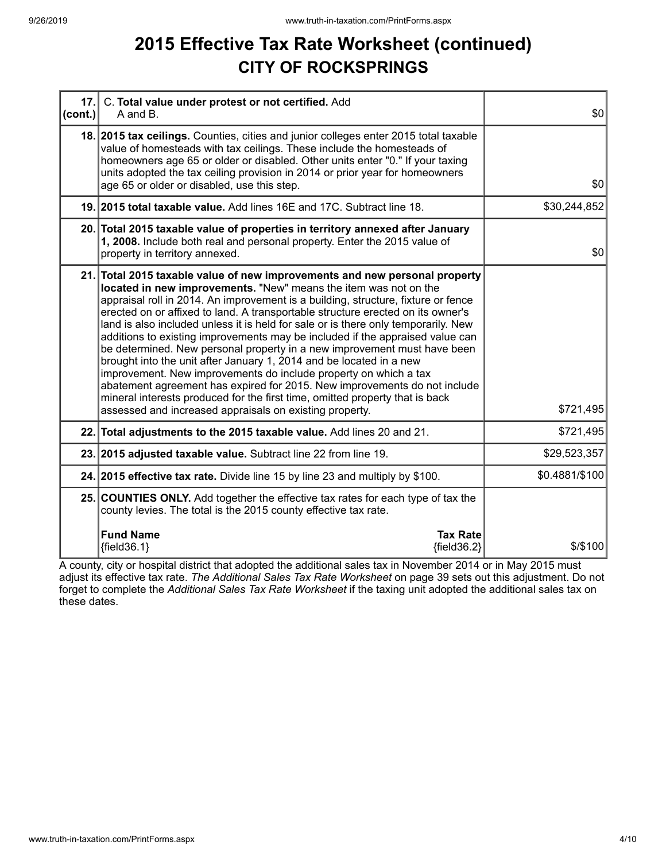## **2015 Effective Tax Rate Worksheet (continued) CITY OF ROCKSPRINGS**

| 17.<br> cont. | C. Total value under protest or not certified. Add<br>A and B.                                                                                                                                                                                                                                                                                                                                                                                                                                                                                                                                                                                                                                                                                                                                                                                                                                                                               | \$0            |
|---------------|----------------------------------------------------------------------------------------------------------------------------------------------------------------------------------------------------------------------------------------------------------------------------------------------------------------------------------------------------------------------------------------------------------------------------------------------------------------------------------------------------------------------------------------------------------------------------------------------------------------------------------------------------------------------------------------------------------------------------------------------------------------------------------------------------------------------------------------------------------------------------------------------------------------------------------------------|----------------|
|               | 18. 2015 tax ceilings. Counties, cities and junior colleges enter 2015 total taxable<br>value of homesteads with tax ceilings. These include the homesteads of<br>homeowners age 65 or older or disabled. Other units enter "0." If your taxing<br>units adopted the tax ceiling provision in 2014 or prior year for homeowners<br>age 65 or older or disabled, use this step.                                                                                                                                                                                                                                                                                                                                                                                                                                                                                                                                                               | 30             |
|               | 19. 2015 total taxable value. Add lines 16E and 17C. Subtract line 18.                                                                                                                                                                                                                                                                                                                                                                                                                                                                                                                                                                                                                                                                                                                                                                                                                                                                       | \$30,244,852   |
|               | 20. Total 2015 taxable value of properties in territory annexed after January<br>1, 2008. Include both real and personal property. Enter the 2015 value of<br>property in territory annexed.                                                                                                                                                                                                                                                                                                                                                                                                                                                                                                                                                                                                                                                                                                                                                 | \$0            |
|               | 21. Total 2015 taxable value of new improvements and new personal property<br>located in new improvements. "New" means the item was not on the<br>appraisal roll in 2014. An improvement is a building, structure, fixture or fence<br>erected on or affixed to land. A transportable structure erected on its owner's<br>land is also included unless it is held for sale or is there only temporarily. New<br>additions to existing improvements may be included if the appraised value can<br>be determined. New personal property in a new improvement must have been<br>brought into the unit after January 1, 2014 and be located in a new<br>improvement. New improvements do include property on which a tax<br>abatement agreement has expired for 2015. New improvements do not include<br>mineral interests produced for the first time, omitted property that is back<br>assessed and increased appraisals on existing property. | \$721,495      |
|               | 22. Total adjustments to the 2015 taxable value. Add lines 20 and 21.                                                                                                                                                                                                                                                                                                                                                                                                                                                                                                                                                                                                                                                                                                                                                                                                                                                                        | \$721,495      |
|               | 23. 2015 adjusted taxable value. Subtract line 22 from line 19.                                                                                                                                                                                                                                                                                                                                                                                                                                                                                                                                                                                                                                                                                                                                                                                                                                                                              | \$29,523,357   |
|               | 24. 2015 effective tax rate. Divide line 15 by line 23 and multiply by \$100.                                                                                                                                                                                                                                                                                                                                                                                                                                                                                                                                                                                                                                                                                                                                                                                                                                                                | \$0.4881/\$100 |
|               | 25. COUNTIES ONLY. Add together the effective tax rates for each type of tax the<br>county levies. The total is the 2015 county effective tax rate.                                                                                                                                                                                                                                                                                                                                                                                                                                                                                                                                                                                                                                                                                                                                                                                          |                |
|               | <b>Fund Name</b><br><b>Tax Rate</b><br>${fields.1}$<br>${fields2}$                                                                                                                                                                                                                                                                                                                                                                                                                                                                                                                                                                                                                                                                                                                                                                                                                                                                           | $$$ /\$100     |

A county, city or hospital district that adopted the additional sales tax in November 2014 or in May 2015 must adjust its effective tax rate. *The Additional Sales Tax Rate Worksheet* on page 39 sets out this adjustment. Do not forget to complete the *Additional Sales Tax Rate Worksheet* if the taxing unit adopted the additional sales tax on these dates.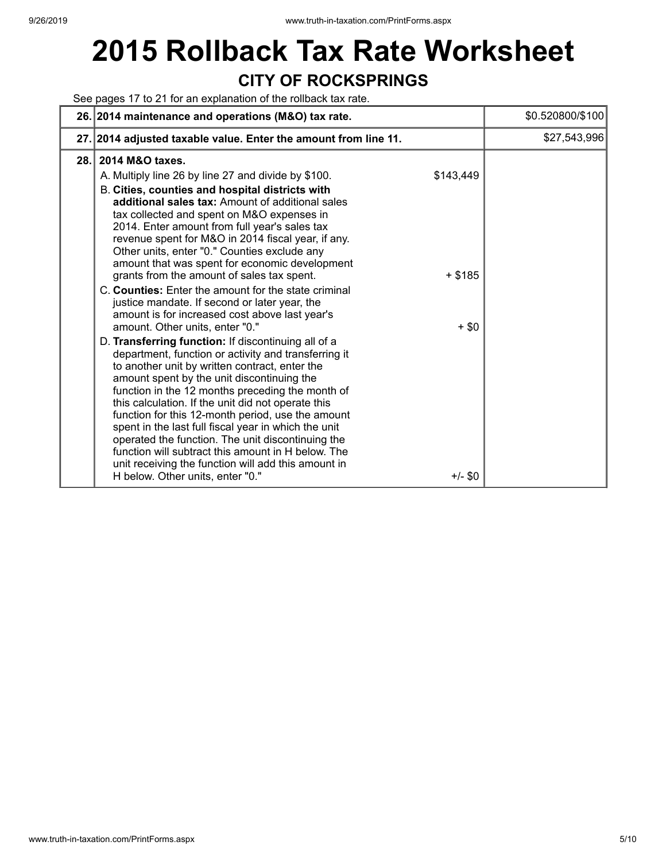## **2015 Rollback Tax Rate Worksheet CITY OF ROCKSPRINGS**

#### See pages 17 to 21 for an explanation of the rollback tax rate.

|      | 26. 2014 maintenance and operations (M&O) tax rate.                                                                                                                                                                                                                                                                                                                                                                                                                                                                                                                                                                                                                                                                                                                                                                                                                                                                                                                                                                                                                                                                                                                                                                                                                                                                           | \$0.520800/\$100 |
|------|-------------------------------------------------------------------------------------------------------------------------------------------------------------------------------------------------------------------------------------------------------------------------------------------------------------------------------------------------------------------------------------------------------------------------------------------------------------------------------------------------------------------------------------------------------------------------------------------------------------------------------------------------------------------------------------------------------------------------------------------------------------------------------------------------------------------------------------------------------------------------------------------------------------------------------------------------------------------------------------------------------------------------------------------------------------------------------------------------------------------------------------------------------------------------------------------------------------------------------------------------------------------------------------------------------------------------------|------------------|
|      | 27. 2014 adjusted taxable value. Enter the amount from line 11.                                                                                                                                                                                                                                                                                                                                                                                                                                                                                                                                                                                                                                                                                                                                                                                                                                                                                                                                                                                                                                                                                                                                                                                                                                                               | \$27,543,996     |
| 28.1 | 2014 M&O taxes.<br>\$143,449<br>A. Multiply line 26 by line 27 and divide by \$100.<br>B. Cities, counties and hospital districts with<br>additional sales tax: Amount of additional sales<br>tax collected and spent on M&O expenses in<br>2014. Enter amount from full year's sales tax<br>revenue spent for M&O in 2014 fiscal year, if any.<br>Other units, enter "0." Counties exclude any<br>amount that was spent for economic development<br>$+$ \$185<br>grants from the amount of sales tax spent.<br>C. Counties: Enter the amount for the state criminal<br>justice mandate. If second or later year, the<br>amount is for increased cost above last year's<br>amount. Other units, enter "0."<br>$+$ \$0<br>D. Transferring function: If discontinuing all of a<br>department, function or activity and transferring it<br>to another unit by written contract, enter the<br>amount spent by the unit discontinuing the<br>function in the 12 months preceding the month of<br>this calculation. If the unit did not operate this<br>function for this 12-month period, use the amount<br>spent in the last full fiscal year in which the unit<br>operated the function. The unit discontinuing the<br>function will subtract this amount in H below. The<br>unit receiving the function will add this amount in |                  |
|      | H below. Other units, enter "0."<br>$+/-$ \$0                                                                                                                                                                                                                                                                                                                                                                                                                                                                                                                                                                                                                                                                                                                                                                                                                                                                                                                                                                                                                                                                                                                                                                                                                                                                                 |                  |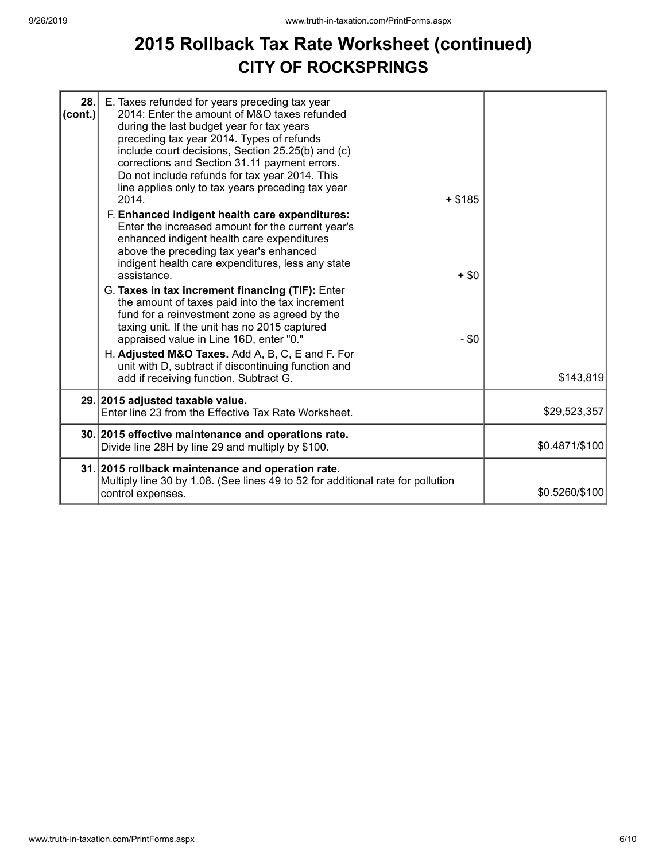#### **2015 Rollback Tax Rate Worksheet (continued) CITY OF ROCKSPRINGS**

| 28.<br>$ _{\rm (cont.)} $ | E. Taxes refunded for years preceding tax year<br>2014: Enter the amount of M&O taxes refunded<br>during the last budget year for tax years<br>preceding tax year 2014. Types of refunds<br>include court decisions, Section 25.25(b) and (c)<br>corrections and Section 31.11 payment errors.<br>Do not include refunds for tax year 2014. This<br>line applies only to tax years preceding tax year<br>2014.<br>F. Enhanced indigent health care expenditures:<br>Enter the increased amount for the current year's<br>enhanced indigent health care expenditures<br>above the preceding tax year's enhanced<br>indigent health care expenditures, less any state<br>assistance.<br>G. Taxes in tax increment financing (TIF): Enter<br>the amount of taxes paid into the tax increment<br>fund for a reinvestment zone as agreed by the<br>taxing unit. If the unit has no 2015 captured<br>appraised value in Line 16D, enter "0."<br>H. Adjusted M&O Taxes. Add A, B, C, E and F. For<br>unit with D, subtract if discontinuing function and | $+$ \$185<br>$+$ \$0<br>$-$ \$0 |                |
|---------------------------|---------------------------------------------------------------------------------------------------------------------------------------------------------------------------------------------------------------------------------------------------------------------------------------------------------------------------------------------------------------------------------------------------------------------------------------------------------------------------------------------------------------------------------------------------------------------------------------------------------------------------------------------------------------------------------------------------------------------------------------------------------------------------------------------------------------------------------------------------------------------------------------------------------------------------------------------------------------------------------------------------------------------------------------------------|---------------------------------|----------------|
|                           | add if receiving function. Subtract G.                                                                                                                                                                                                                                                                                                                                                                                                                                                                                                                                                                                                                                                                                                                                                                                                                                                                                                                                                                                                            |                                 | \$143,819      |
|                           | 29. 2015 adjusted taxable value.<br>Enter line 23 from the Effective Tax Rate Worksheet.                                                                                                                                                                                                                                                                                                                                                                                                                                                                                                                                                                                                                                                                                                                                                                                                                                                                                                                                                          |                                 | \$29,523,357   |
|                           | 30. 2015 effective maintenance and operations rate.<br>Divide line 28H by line 29 and multiply by \$100.                                                                                                                                                                                                                                                                                                                                                                                                                                                                                                                                                                                                                                                                                                                                                                                                                                                                                                                                          |                                 | \$0.4871/\$100 |
|                           | 31. 2015 rollback maintenance and operation rate.<br>Multiply line 30 by 1.08. (See lines 49 to 52 for additional rate for pollution<br>control expenses.                                                                                                                                                                                                                                                                                                                                                                                                                                                                                                                                                                                                                                                                                                                                                                                                                                                                                         |                                 | \$0.5260/\$100 |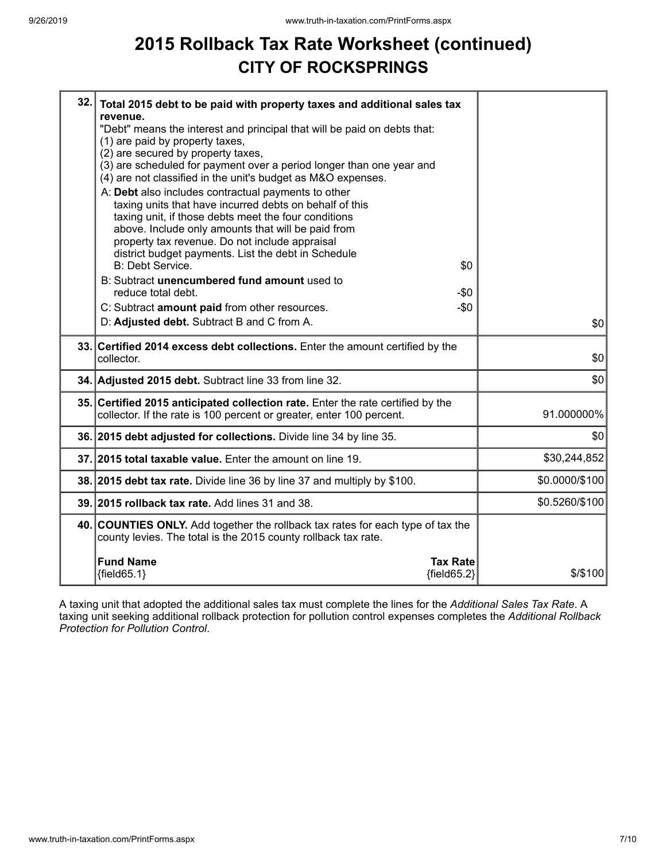## **2015 Rollback Tax Rate Worksheet (continued) CITY OF ROCKSPRINGS**

| 32. Total 2015 debt to be paid with property taxes and additional sales tax<br>revenue.<br>"Debt" means the interest and principal that will be paid on debts that:<br>(1) are paid by property taxes,<br>(2) are secured by property taxes,<br>(3) are scheduled for payment over a period longer than one year and<br>(4) are not classified in the unit's budget as M&O expenses.<br>A: Debt also includes contractual payments to other<br>taxing units that have incurred debts on behalf of this<br>taxing unit, if those debts meet the four conditions<br>above. Include only amounts that will be paid from<br>property tax revenue. Do not include appraisal<br>district budget payments. List the debt in Schedule<br><b>B: Debt Service.</b><br>\$0<br>B: Subtract unencumbered fund amount used to<br>reduce total debt.<br>$-\$0$<br>C: Subtract amount paid from other resources.<br>$-\$0$<br>D: Adjusted debt. Subtract B and C from A. | \$0            |
|----------------------------------------------------------------------------------------------------------------------------------------------------------------------------------------------------------------------------------------------------------------------------------------------------------------------------------------------------------------------------------------------------------------------------------------------------------------------------------------------------------------------------------------------------------------------------------------------------------------------------------------------------------------------------------------------------------------------------------------------------------------------------------------------------------------------------------------------------------------------------------------------------------------------------------------------------------|----------------|
| 33. Certified 2014 excess debt collections. Enter the amount certified by the<br>collector.                                                                                                                                                                                                                                                                                                                                                                                                                                                                                                                                                                                                                                                                                                                                                                                                                                                              | \$0            |
| 34. Adjusted 2015 debt. Subtract line 33 from line 32.                                                                                                                                                                                                                                                                                                                                                                                                                                                                                                                                                                                                                                                                                                                                                                                                                                                                                                   | \$0            |
| 35. Certified 2015 anticipated collection rate. Enter the rate certified by the<br>collector. If the rate is 100 percent or greater, enter 100 percent.                                                                                                                                                                                                                                                                                                                                                                                                                                                                                                                                                                                                                                                                                                                                                                                                  | 91.000000%     |
| 36. 2015 debt adjusted for collections. Divide line 34 by line 35.                                                                                                                                                                                                                                                                                                                                                                                                                                                                                                                                                                                                                                                                                                                                                                                                                                                                                       | \$0            |
| 37. 2015 total taxable value. Enter the amount on line 19.                                                                                                                                                                                                                                                                                                                                                                                                                                                                                                                                                                                                                                                                                                                                                                                                                                                                                               | \$30,244,852   |
| 38. 2015 debt tax rate. Divide line 36 by line 37 and multiply by \$100.                                                                                                                                                                                                                                                                                                                                                                                                                                                                                                                                                                                                                                                                                                                                                                                                                                                                                 | \$0.0000/\$100 |
| 39. 2015 rollback tax rate. Add lines 31 and 38.                                                                                                                                                                                                                                                                                                                                                                                                                                                                                                                                                                                                                                                                                                                                                                                                                                                                                                         | \$0.5260/\$100 |
| 40. COUNTIES ONLY. Add together the rollback tax rates for each type of tax the<br>county levies. The total is the 2015 county rollback tax rate.                                                                                                                                                                                                                                                                                                                                                                                                                                                                                                                                                                                                                                                                                                                                                                                                        |                |
| <b>Fund Name</b><br><b>Tax Rate</b><br>${fields2}$<br>${field65.1}$                                                                                                                                                                                                                                                                                                                                                                                                                                                                                                                                                                                                                                                                                                                                                                                                                                                                                      | \$/\$100       |

A taxing unit that adopted the additional sales tax must complete the lines for the *Additional Sales Tax Rate*. A taxing unit seeking additional rollback protection for pollution control expenses completes the *Additional Rollback Protection for Pollution Control*.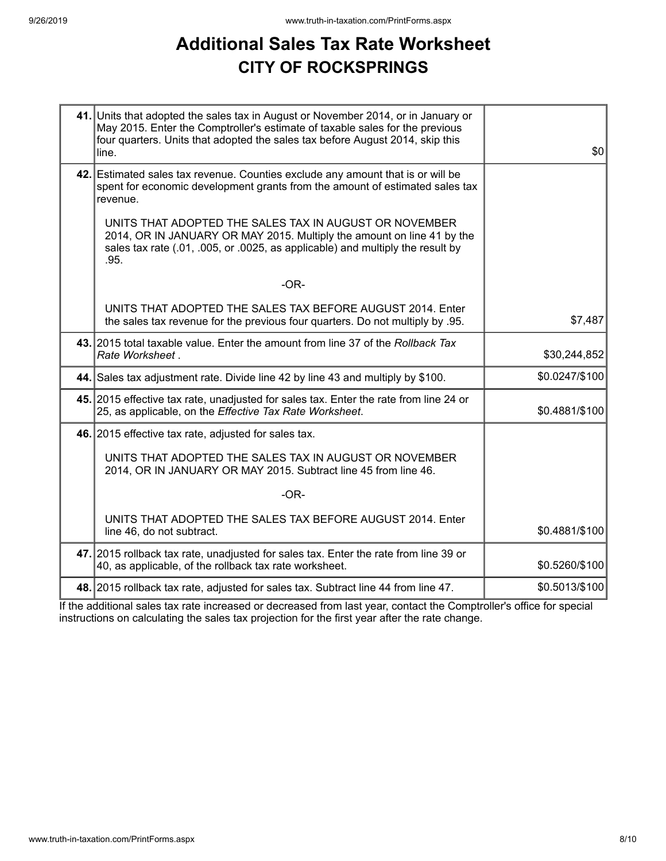### **Additional Sales Tax Rate Worksheet CITY OF ROCKSPRINGS**

| 41. Units that adopted the sales tax in August or November 2014, or in January or<br>May 2015. Enter the Comptroller's estimate of taxable sales for the previous<br>four quarters. Units that adopted the sales tax before August 2014, skip this<br>line. | \$0            |
|-------------------------------------------------------------------------------------------------------------------------------------------------------------------------------------------------------------------------------------------------------------|----------------|
| 42. Estimated sales tax revenue. Counties exclude any amount that is or will be<br>spent for economic development grants from the amount of estimated sales tax<br>revenue.                                                                                 |                |
| UNITS THAT ADOPTED THE SALES TAX IN AUGUST OR NOVEMBER<br>2014, OR IN JANUARY OR MAY 2015. Multiply the amount on line 41 by the<br>sales tax rate (.01, .005, or .0025, as applicable) and multiply the result by<br>.95.                                  |                |
| $-OR-$                                                                                                                                                                                                                                                      |                |
| UNITS THAT ADOPTED THE SALES TAX BEFORE AUGUST 2014. Enter<br>the sales tax revenue for the previous four quarters. Do not multiply by .95.                                                                                                                 | \$7,487        |
| 43. 2015 total taxable value. Enter the amount from line 37 of the Rollback Tax<br>Rate Worksheet.                                                                                                                                                          | \$30,244,852   |
| 44. Sales tax adjustment rate. Divide line 42 by line 43 and multiply by \$100.                                                                                                                                                                             | \$0.0247/\$100 |
| 45. 2015 effective tax rate, unadjusted for sales tax. Enter the rate from line 24 or<br>25, as applicable, on the Effective Tax Rate Worksheet.                                                                                                            | \$0.4881/\$100 |
| 46. 2015 effective tax rate, adjusted for sales tax.                                                                                                                                                                                                        |                |
| UNITS THAT ADOPTED THE SALES TAX IN AUGUST OR NOVEMBER<br>2014, OR IN JANUARY OR MAY 2015. Subtract line 45 from line 46.                                                                                                                                   |                |
| $-OR-$                                                                                                                                                                                                                                                      |                |
| UNITS THAT ADOPTED THE SALES TAX BEFORE AUGUST 2014. Enter<br>line 46, do not subtract.                                                                                                                                                                     | \$0.4881/\$100 |
| 47. 2015 rollback tax rate, unadjusted for sales tax. Enter the rate from line 39 or<br>40, as applicable, of the rollback tax rate worksheet.                                                                                                              | \$0.5260/\$100 |
| 48. 2015 rollback tax rate, adjusted for sales tax. Subtract line 44 from line 47.                                                                                                                                                                          | \$0.5013/\$100 |

If the additional sales tax rate increased or decreased from last year, contact the Comptroller's office for special instructions on calculating the sales tax projection for the first year after the rate change.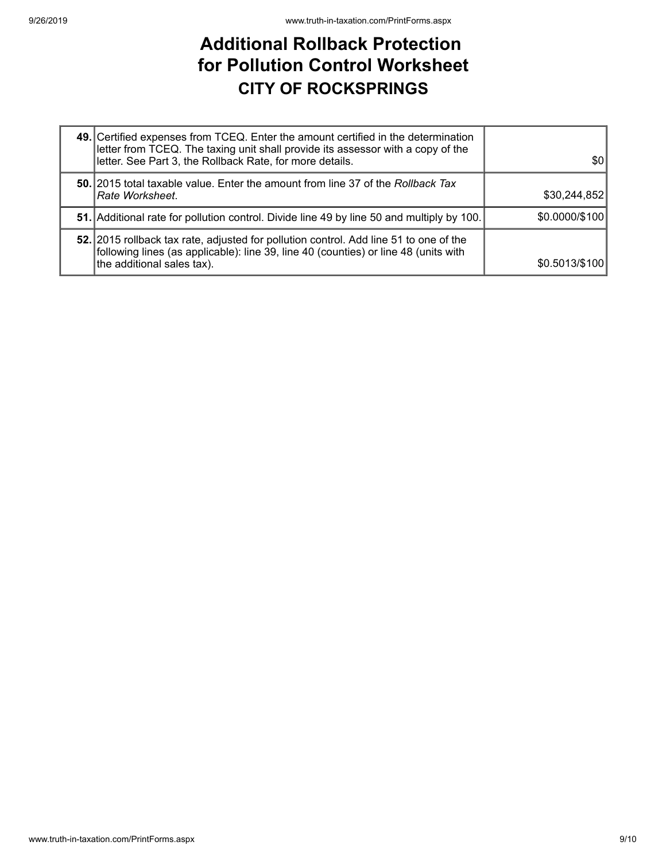## **Additional Rollback Protection for Pollution Control Worksheet CITY OF ROCKSPRINGS**

| 49. Certified expenses from TCEQ. Enter the amount certified in the determination<br>letter from TCEQ. The taxing unit shall provide its assessor with a copy of the<br>letter. See Part 3, the Rollback Rate, for more details. | \$0            |
|----------------------------------------------------------------------------------------------------------------------------------------------------------------------------------------------------------------------------------|----------------|
| 50. 2015 total taxable value. Enter the amount from line 37 of the Rollback Tax<br>Rate Worksheet.                                                                                                                               | \$30,244,852   |
| 51. Additional rate for pollution control. Divide line 49 by line 50 and multiply by 100.                                                                                                                                        | \$0.0000/\$100 |
| 52. 2015 rollback tax rate, adjusted for pollution control. Add line 51 to one of the<br>following lines (as applicable): line 39, line 40 (counties) or line 48 (units with<br>the additional sales tax).                       | \$0.5013/\$100 |